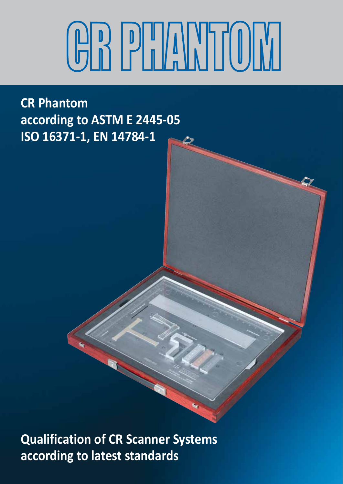# **CR PHANTOM**

**CR Phantom according to ASTM E 2445-05 ISO 16371-1, EN 14784-1**

**Qualification of CR Scanner Systems according to latest standards**